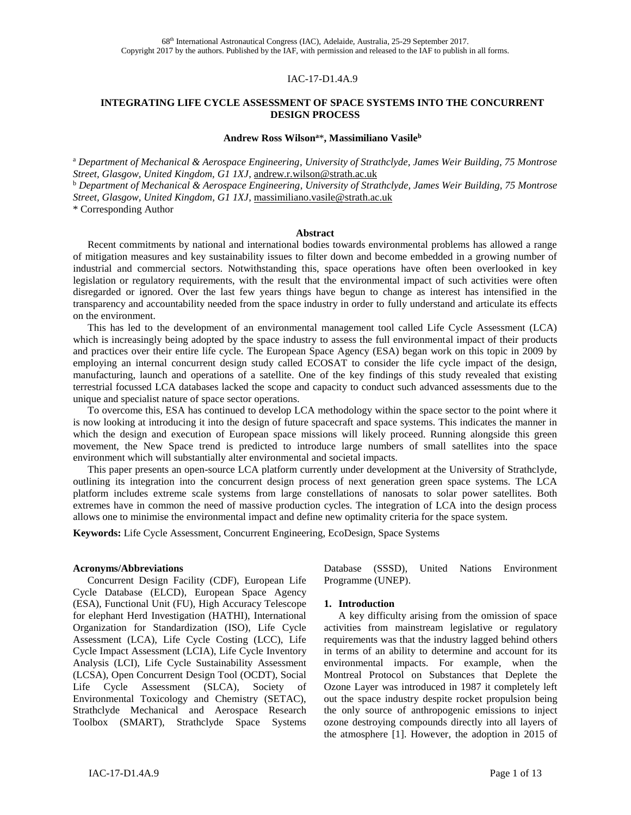#### IAC-17-D1.4A.9

#### **INTEGRATING LIFE CYCLE ASSESSMENT OF SPACE SYSTEMS INTO THE CONCURRENT DESIGN PROCESS**

#### **Andrew Ross Wilson<sup>a</sup>**\***, Massimiliano Vasile<sup>b</sup>**

<sup>a</sup> *Department of Mechanical & Aerospace Engineering, University of Strathclyde, James Weir Building, 75 Montrose Street, Glasgow, United Kingdom, G1 1XJ*, [andrew.r.wilson@strath.ac.uk](mailto:eva77tw@cc.hc.cust.edu.tw) 

<sup>b</sup> *Department of Mechanical & Aerospace Engineering, University of Strathclyde, James Weir Building, 75 Montrose Street, Glasgow, United Kingdom, G1 1XJ*, [massimiliano.vasile@strath.ac.uk](mailto:eva77tw@cc.hc.cust.edu.tw) 

\* Corresponding Author

#### **Abstract**

Recent commitments by national and international bodies towards environmental problems has allowed a range of mitigation measures and key sustainability issues to filter down and become embedded in a growing number of industrial and commercial sectors. Notwithstanding this, space operations have often been overlooked in key legislation or regulatory requirements, with the result that the environmental impact of such activities were often disregarded or ignored. Over the last few years things have begun to change as interest has intensified in the transparency and accountability needed from the space industry in order to fully understand and articulate its effects on the environment.

This has led to the development of an environmental management tool called Life Cycle Assessment (LCA) which is increasingly being adopted by the space industry to assess the full environmental impact of their products and practices over their entire life cycle. The European Space Agency (ESA) began work on this topic in 2009 by employing an internal concurrent design study called ECOSAT to consider the life cycle impact of the design, manufacturing, launch and operations of a satellite. One of the key findings of this study revealed that existing terrestrial focussed LCA databases lacked the scope and capacity to conduct such advanced assessments due to the unique and specialist nature of space sector operations.

To overcome this, ESA has continued to develop LCA methodology within the space sector to the point where it is now looking at introducing it into the design of future spacecraft and space systems. This indicates the manner in which the design and execution of European space missions will likely proceed. Running alongside this green movement, the New Space trend is predicted to introduce large numbers of small satellites into the space environment which will substantially alter environmental and societal impacts.

This paper presents an open-source LCA platform currently under development at the University of Strathclyde, outlining its integration into the concurrent design process of next generation green space systems. The LCA platform includes extreme scale systems from large constellations of nanosats to solar power satellites. Both extremes have in common the need of massive production cycles. The integration of LCA into the design process allows one to minimise the environmental impact and define new optimality criteria for the space system.

**Keywords:** Life Cycle Assessment, Concurrent Engineering, EcoDesign, Space Systems

#### **Acronyms/Abbreviations**

Concurrent Design Facility (CDF), European Life Cycle Database (ELCD), European Space Agency (ESA), Functional Unit (FU), High Accuracy Telescope for elephant Herd Investigation (HATHI), International Organization for Standardization (ISO), Life Cycle Assessment (LCA), Life Cycle Costing (LCC), Life Cycle Impact Assessment (LCIA), Life Cycle Inventory Analysis (LCI), Life Cycle Sustainability Assessment (LCSA), Open Concurrent Design Tool (OCDT), Social Life Cycle Assessment (SLCA), Society of Environmental Toxicology and Chemistry (SETAC), Strathclyde Mechanical and Aerospace Research Toolbox (SMART), Strathclyde Space Systems

Database (SSSD), United Nations Environment Programme (UNEP).

#### **1. Introduction**

A key difficulty arising from the omission of space activities from mainstream legislative or regulatory requirements was that the industry lagged behind others in terms of an ability to determine and account for its environmental impacts. For example, when the Montreal Protocol on Substances that Deplete the Ozone Layer was introduced in 1987 it completely left out the space industry despite rocket propulsion being the only source of anthropogenic emissions to inject ozone destroying compounds directly into all layers of the atmosphere [1]. However, the adoption in 2015 of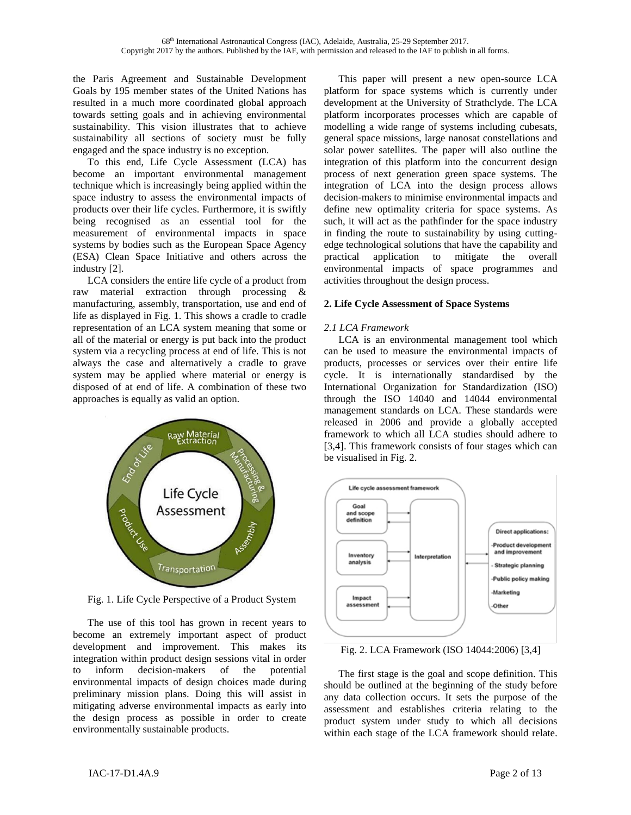the Paris Agreement and Sustainable Development Goals by 195 member states of the United Nations has resulted in a much more coordinated global approach towards setting goals and in achieving environmental sustainability. This vision illustrates that to achieve sustainability all sections of society must be fully engaged and the space industry is no exception.

To this end, Life Cycle Assessment (LCA) has become an important environmental management technique which is increasingly being applied within the space industry to assess the environmental impacts of products over their life cycles. Furthermore, it is swiftly being recognised as an essential tool for the measurement of environmental impacts in space systems by bodies such as the European Space Agency (ESA) Clean Space Initiative and others across the industry [2].

LCA considers the entire life cycle of a product from raw material extraction through processing & manufacturing, assembly, transportation, use and end of life as displayed in Fig. 1. This shows a cradle to cradle representation of an LCA system meaning that some or all of the material or energy is put back into the product system via a recycling process at end of life. This is not always the case and alternatively a cradle to grave system may be applied where material or energy is disposed of at end of life. A combination of these two approaches is equally as valid an option.



Fig. 1. Life Cycle Perspective of a Product System

The use of this tool has grown in recent years to become an extremely important aspect of product development and improvement. This makes its integration within product design sessions vital in order to inform decision-makers of the potential environmental impacts of design choices made during preliminary mission plans. Doing this will assist in mitigating adverse environmental impacts as early into the design process as possible in order to create environmentally sustainable products.

This paper will present a new open-source LCA platform for space systems which is currently under development at the University of Strathclyde. The LCA platform incorporates processes which are capable of modelling a wide range of systems including cubesats, general space missions, large nanosat constellations and solar power satellites. The paper will also outline the integration of this platform into the concurrent design process of next generation green space systems. The integration of LCA into the design process allows decision-makers to minimise environmental impacts and define new optimality criteria for space systems. As such, it will act as the pathfinder for the space industry in finding the route to sustainability by using cuttingedge technological solutions that have the capability and practical application to mitigate the overall environmental impacts of space programmes and activities throughout the design process.

## **2. Life Cycle Assessment of Space Systems**

## *2.1 LCA Framework*

LCA is an environmental management tool which can be used to measure the environmental impacts of products, processes or services over their entire life cycle. It is internationally standardised by the International Organization for Standardization (ISO) through the ISO 14040 and 14044 environmental management standards on LCA. These standards were released in 2006 and provide a globally accepted framework to which all LCA studies should adhere to [3,4]. This framework consists of four stages which can be visualised in Fig. 2.



Fig. 2. LCA Framework (ISO 14044:2006) [3,4]

The first stage is the goal and scope definition. This should be outlined at the beginning of the study before any data collection occurs. It sets the purpose of the assessment and establishes criteria relating to the product system under study to which all decisions within each stage of the LCA framework should relate.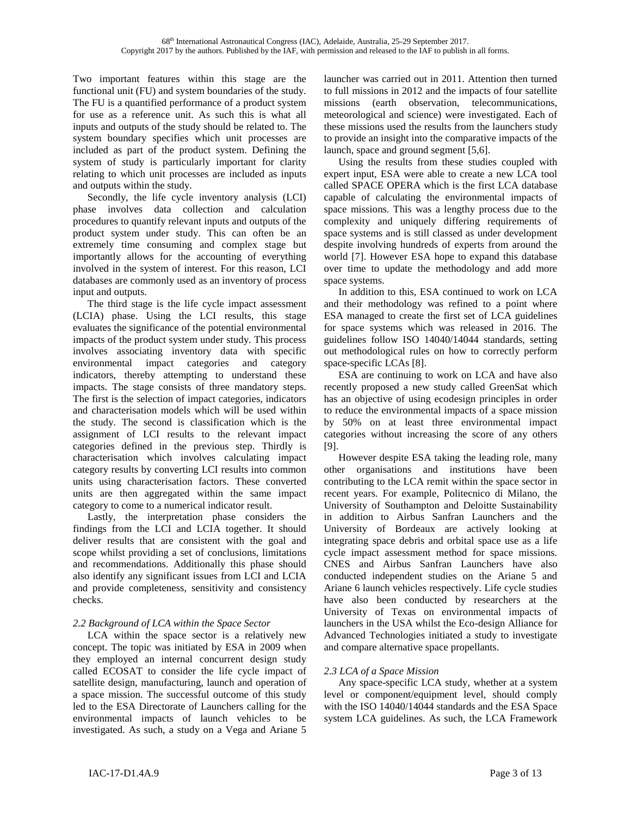Two important features within this stage are the functional unit (FU) and system boundaries of the study. The FU is a quantified performance of a product system for use as a reference unit. As such this is what all inputs and outputs of the study should be related to. The system boundary specifies which unit processes are included as part of the product system. Defining the system of study is particularly important for clarity relating to which unit processes are included as inputs and outputs within the study.

Secondly, the life cycle inventory analysis (LCI) phase involves data collection and calculation procedures to quantify relevant inputs and outputs of the product system under study. This can often be an extremely time consuming and complex stage but importantly allows for the accounting of everything involved in the system of interest. For this reason, LCI databases are commonly used as an inventory of process input and outputs.

The third stage is the life cycle impact assessment (LCIA) phase. Using the LCI results, this stage evaluates the significance of the potential environmental impacts of the product system under study. This process involves associating inventory data with specific environmental impact categories and category indicators, thereby attempting to understand these impacts. The stage consists of three mandatory steps. The first is the selection of impact categories, indicators and characterisation models which will be used within the study. The second is classification which is the assignment of LCI results to the relevant impact categories defined in the previous step. Thirdly is characterisation which involves calculating impact category results by converting LCI results into common units using characterisation factors. These converted units are then aggregated within the same impact category to come to a numerical indicator result.

Lastly, the interpretation phase considers the findings from the LCI and LCIA together. It should deliver results that are consistent with the goal and scope whilst providing a set of conclusions, limitations and recommendations. Additionally this phase should also identify any significant issues from LCI and LCIA and provide completeness, sensitivity and consistency checks.

## *2.2 Background of LCA within the Space Sector*

LCA within the space sector is a relatively new concept. The topic was initiated by ESA in 2009 when they employed an internal concurrent design study called ECOSAT to consider the life cycle impact of satellite design, manufacturing, launch and operation of a space mission. The successful outcome of this study led to the ESA Directorate of Launchers calling for the environmental impacts of launch vehicles to be investigated. As such, a study on a Vega and Ariane 5

launcher was carried out in 2011. Attention then turned to full missions in 2012 and the impacts of four satellite missions (earth observation, telecommunications, meteorological and science) were investigated. Each of these missions used the results from the launchers study to provide an insight into the comparative impacts of the launch, space and ground segment [5,6].

Using the results from these studies coupled with expert input, ESA were able to create a new LCA tool called SPACE OPERA which is the first LCA database capable of calculating the environmental impacts of space missions. This was a lengthy process due to the complexity and uniquely differing requirements of space systems and is still classed as under development despite involving hundreds of experts from around the world [7]. However ESA hope to expand this database over time to update the methodology and add more space systems.

In addition to this, ESA continued to work on LCA and their methodology was refined to a point where ESA managed to create the first set of LCA guidelines for space systems which was released in 2016. The guidelines follow ISO 14040/14044 standards, setting out methodological rules on how to correctly perform space-specific LCAs [8].

ESA are continuing to work on LCA and have also recently proposed a new study called GreenSat which has an objective of using ecodesign principles in order to reduce the environmental impacts of a space mission by 50% on at least three environmental impact categories without increasing the score of any others [9].

However despite ESA taking the leading role, many other organisations and institutions have been contributing to the LCA remit within the space sector in recent years. For example, Politecnico di Milano, the University of Southampton and Deloitte Sustainability in addition to Airbus Sanfran Launchers and the University of Bordeaux are actively looking at integrating space debris and orbital space use as a life cycle impact assessment method for space missions. CNES and Airbus Sanfran Launchers have also conducted independent studies on the Ariane 5 and Ariane 6 launch vehicles respectively. Life cycle studies have also been conducted by researchers at the University of Texas on environmental impacts of launchers in the USA whilst the Eco-design Alliance for Advanced Technologies initiated a study to investigate and compare alternative space propellants.

# *2.3 LCA of a Space Mission*

Any space-specific LCA study, whether at a system level or component/equipment level, should comply with the ISO 14040/14044 standards and the ESA Space system LCA guidelines. As such, the LCA Framework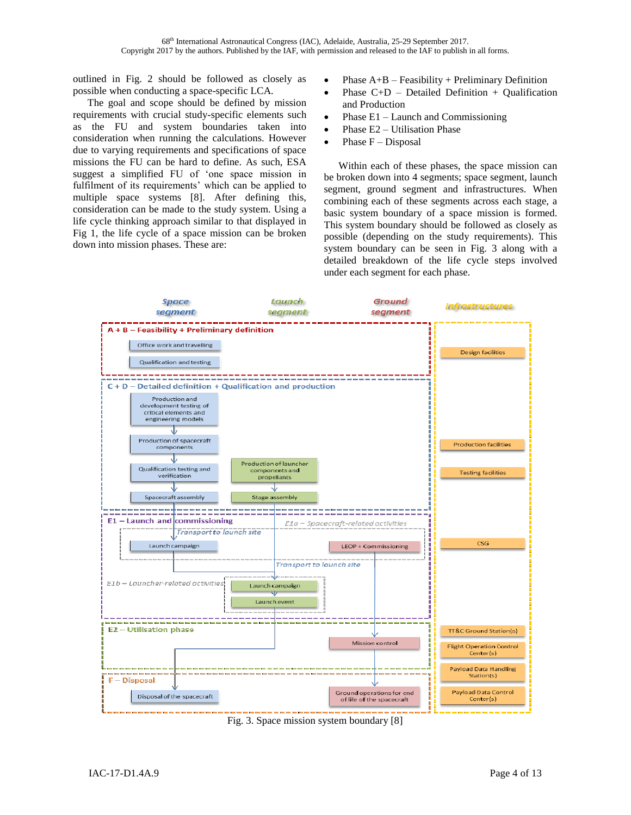outlined in Fig. 2 should be followed as closely as possible when conducting a space-specific LCA.

The goal and scope should be defined by mission requirements with crucial study-specific elements such as the FU and system boundaries taken into consideration when running the calculations. However due to varying requirements and specifications of space missions the FU can be hard to define. As such, ESA suggest a simplified FU of 'one space mission in fulfilment of its requirements' which can be applied to multiple space systems [8]. After defining this, consideration can be made to the study system. Using a life cycle thinking approach similar to that displayed in Fig 1, the life cycle of a space mission can be broken down into mission phases. These are:

- Phase  $A+B$  Feasibility + Preliminary Definition
- Phase  $C+D$  Detailed Definition + Oualification and Production
- Phase E1 Launch and Commissioning
- Phase E2 Utilisation Phase
- Phase  $F Disposal$

Within each of these phases, the space mission can be broken down into 4 segments; space segment, launch segment, ground segment and infrastructures. When combining each of these segments across each stage, a basic system boundary of a space mission is formed. This system boundary should be followed as closely as possible (depending on the study requirements). This system boundary can be seen in Fig. 3 along with a detailed breakdown of the life cycle steps involved under each segment for each phase.



Fig. 3. Space mission system boundary [8]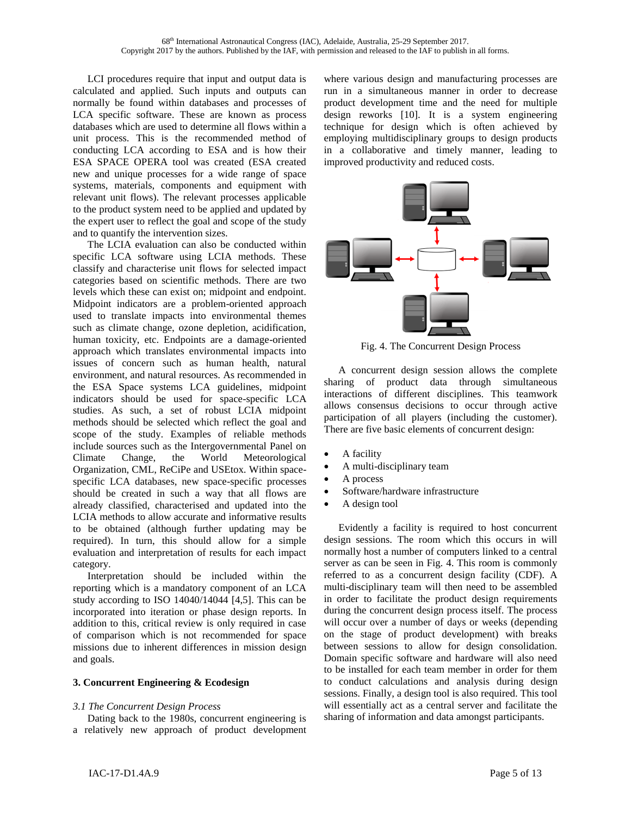LCI procedures require that input and output data is calculated and applied. Such inputs and outputs can normally be found within databases and processes of LCA specific software. These are known as process databases which are used to determine all flows within a unit process. This is the recommended method of conducting LCA according to ESA and is how their ESA SPACE OPERA tool was created (ESA created new and unique processes for a wide range of space systems, materials, components and equipment with relevant unit flows). The relevant processes applicable to the product system need to be applied and updated by the expert user to reflect the goal and scope of the study and to quantify the intervention sizes.

The LCIA evaluation can also be conducted within specific LCA software using LCIA methods. These classify and characterise unit flows for selected impact categories based on scientific methods. There are two levels which these can exist on; midpoint and endpoint. Midpoint indicators are a problem-oriented approach used to translate impacts into environmental themes such as climate change, ozone depletion, acidification, human toxicity, etc. Endpoints are a damage-oriented approach which translates environmental impacts into issues of concern such as human health, natural environment, and natural resources. As recommended in the ESA Space systems LCA guidelines, midpoint indicators should be used for space-specific LCA studies. As such, a set of robust LCIA midpoint methods should be selected which reflect the goal and scope of the study. Examples of reliable methods include sources such as the Intergovernmental Panel on Climate Change, the World Meteorological Organization, CML, ReCiPe and USEtox. Within spacespecific LCA databases, new space-specific processes should be created in such a way that all flows are already classified, characterised and updated into the LCIA methods to allow accurate and informative results to be obtained (although further updating may be required). In turn, this should allow for a simple evaluation and interpretation of results for each impact category.

Interpretation should be included within the reporting which is a mandatory component of an LCA study according to ISO 14040/14044 [4,5]. This can be incorporated into iteration or phase design reports. In addition to this, critical review is only required in case of comparison which is not recommended for space missions due to inherent differences in mission design and goals.

#### **3. Concurrent Engineering & Ecodesign**

### *3.1 The Concurrent Design Process*

Dating back to the 1980s, concurrent engineering is a relatively new approach of product development where various design and manufacturing processes are run in a simultaneous manner in order to decrease product development time and the need for multiple design reworks [10]. It is a system engineering technique for design which is often achieved by employing multidisciplinary groups to design products in a collaborative and timely manner, leading to improved productivity and reduced costs.



Fig. 4. The Concurrent Design Process

A concurrent design session allows the complete sharing of product data through simultaneous interactions of different disciplines. This teamwork allows consensus decisions to occur through active participation of all players (including the customer). There are five basic elements of concurrent design:

- A facility
- A multi-disciplinary team
- A process
- Software/hardware infrastructure
- A design tool

Evidently a facility is required to host concurrent design sessions. The room which this occurs in will normally host a number of computers linked to a central server as can be seen in Fig. 4. This room is commonly referred to as a concurrent design facility (CDF). A multi-disciplinary team will then need to be assembled in order to facilitate the product design requirements during the concurrent design process itself. The process will occur over a number of days or weeks (depending on the stage of product development) with breaks between sessions to allow for design consolidation. Domain specific software and hardware will also need to be installed for each team member in order for them to conduct calculations and analysis during design sessions. Finally, a design tool is also required. This tool will essentially act as a central server and facilitate the sharing of information and data amongst participants.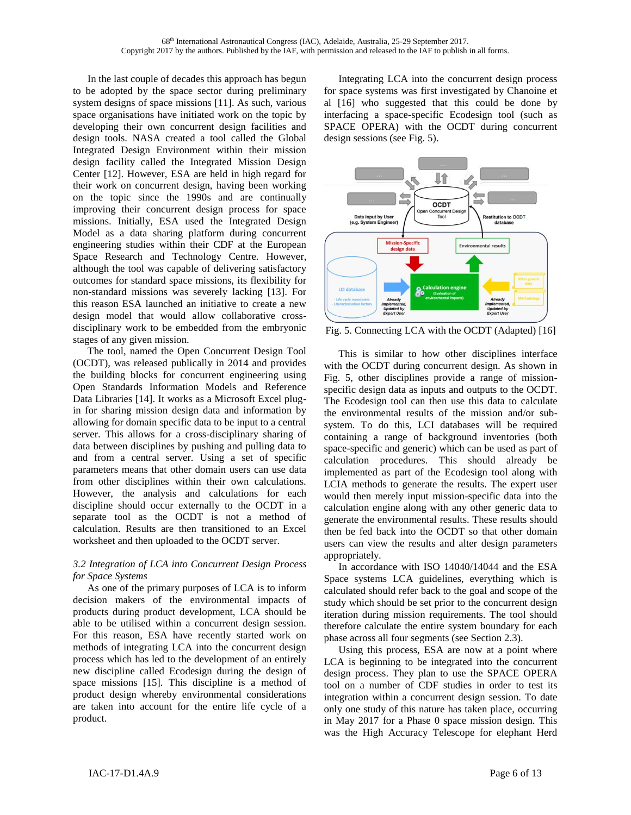In the last couple of decades this approach has begun to be adopted by the space sector during preliminary system designs of space missions [11]. As such, various space organisations have initiated work on the topic by developing their own concurrent design facilities and design tools. NASA created a tool called the Global Integrated Design Environment within their mission design facility called the Integrated Mission Design Center [12]. However, ESA are held in high regard for their work on concurrent design, having been working on the topic since the 1990s and are continually improving their concurrent design process for space missions. Initially, ESA used the Integrated Design Model as a data sharing platform during concurrent engineering studies within their CDF at the European Space Research and Technology Centre. However, although the tool was capable of delivering satisfactory outcomes for standard space missions, its flexibility for non-standard missions was severely lacking [13]. For this reason ESA launched an initiative to create a new design model that would allow collaborative crossdisciplinary work to be embedded from the embryonic stages of any given mission.

The tool, named the Open Concurrent Design Tool (OCDT), was released publically in 2014 and provides the building blocks for concurrent engineering using Open Standards Information Models and Reference Data Libraries [14]. It works as a Microsoft Excel plugin for sharing mission design data and information by allowing for domain specific data to be input to a central server. This allows for a cross-disciplinary sharing of data between disciplines by pushing and pulling data to and from a central server. Using a set of specific parameters means that other domain users can use data from other disciplines within their own calculations. However, the analysis and calculations for each discipline should occur externally to the OCDT in a separate tool as the OCDT is not a method of calculation. Results are then transitioned to an Excel worksheet and then uploaded to the OCDT server.

### *3.2 Integration of LCA into Concurrent Design Process for Space Systems*

As one of the primary purposes of LCA is to inform decision makers of the environmental impacts of products during product development, LCA should be able to be utilised within a concurrent design session. For this reason, ESA have recently started work on methods of integrating LCA into the concurrent design process which has led to the development of an entirely new discipline called Ecodesign during the design of space missions [15]. This discipline is a method of product design whereby environmental considerations are taken into account for the entire life cycle of a product.

Integrating LCA into the concurrent design process for space systems was first investigated by Chanoine et al [16] who suggested that this could be done by interfacing a space-specific Ecodesign tool (such as SPACE OPERA) with the OCDT during concurrent design sessions (see Fig. 5).



Fig. 5. Connecting LCA with the OCDT (Adapted) [16]

This is similar to how other disciplines interface with the OCDT during concurrent design. As shown in Fig. 5, other disciplines provide a range of missionspecific design data as inputs and outputs to the OCDT. The Ecodesign tool can then use this data to calculate the environmental results of the mission and/or subsystem. To do this, LCI databases will be required containing a range of background inventories (both space-specific and generic) which can be used as part of calculation procedures. This should already be implemented as part of the Ecodesign tool along with LCIA methods to generate the results. The expert user would then merely input mission-specific data into the calculation engine along with any other generic data to generate the environmental results. These results should then be fed back into the OCDT so that other domain users can view the results and alter design parameters appropriately.

In accordance with ISO 14040/14044 and the ESA Space systems LCA guidelines, everything which is calculated should refer back to the goal and scope of the study which should be set prior to the concurrent design iteration during mission requirements. The tool should therefore calculate the entire system boundary for each phase across all four segments (see Section 2.3).

Using this process, ESA are now at a point where LCA is beginning to be integrated into the concurrent design process. They plan to use the SPACE OPERA tool on a number of CDF studies in order to test its integration within a concurrent design session. To date only one study of this nature has taken place, occurring in May 2017 for a Phase 0 space mission design. This was the High Accuracy Telescope for elephant Herd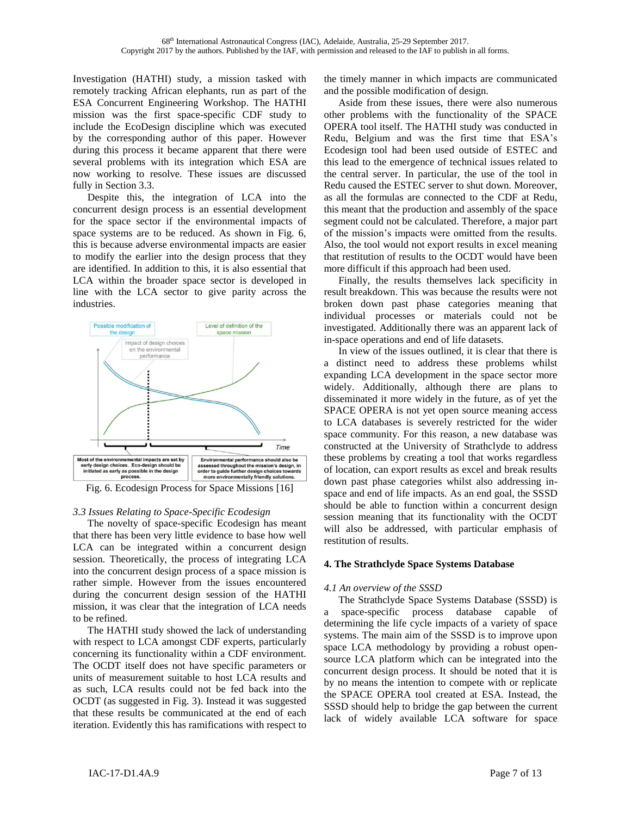Investigation (HATHI) study, a mission tasked with remotely tracking African elephants, run as part of the ESA Concurrent Engineering Workshop. The HATHI mission was the first space-specific CDF study to include the EcoDesign discipline which was executed by the corresponding author of this paper. However during this process it became apparent that there were several problems with its integration which ESA are now working to resolve. These issues are discussed fully in Section 3.3.

Despite this, the integration of LCA into the concurrent design process is an essential development for the space sector if the environmental impacts of space systems are to be reduced. As shown in Fig. 6, this is because adverse environmental impacts are easier to modify the earlier into the design process that they are identified. In addition to this, it is also essential that LCA within the broader space sector is developed in line with the LCA sector to give parity across the industries.



Fig. 6. Ecodesign Process for Space Missions [16]

#### *3.3 Issues Relating to Space-Specific Ecodesign*

The novelty of space-specific Ecodesign has meant that there has been very little evidence to base how well LCA can be integrated within a concurrent design session. Theoretically, the process of integrating LCA into the concurrent design process of a space mission is rather simple. However from the issues encountered during the concurrent design session of the HATHI mission, it was clear that the integration of LCA needs to be refined.

The HATHI study showed the lack of understanding with respect to LCA amongst CDF experts, particularly concerning its functionality within a CDF environment. The OCDT itself does not have specific parameters or units of measurement suitable to host LCA results and as such, LCA results could not be fed back into the OCDT (as suggested in Fig. 3). Instead it was suggested that these results be communicated at the end of each iteration. Evidently this has ramifications with respect to

the timely manner in which impacts are communicated and the possible modification of design.

Aside from these issues, there were also numerous other problems with the functionality of the SPACE OPERA tool itself. The HATHI study was conducted in Redu, Belgium and was the first time that ESA's Ecodesign tool had been used outside of ESTEC and this lead to the emergence of technical issues related to the central server. In particular, the use of the tool in Redu caused the ESTEC server to shut down. Moreover, as all the formulas are connected to the CDF at Redu, this meant that the production and assembly of the space segment could not be calculated. Therefore, a major part of the mission's impacts were omitted from the results. Also, the tool would not export results in excel meaning that restitution of results to the OCDT would have been more difficult if this approach had been used.

Finally, the results themselves lack specificity in result breakdown. This was because the results were not broken down past phase categories meaning that individual processes or materials could not be investigated. Additionally there was an apparent lack of in-space operations and end of life datasets.

In view of the issues outlined, it is clear that there is a distinct need to address these problems whilst expanding LCA development in the space sector more widely. Additionally, although there are plans to disseminated it more widely in the future, as of yet the SPACE OPERA is not yet open source meaning access to LCA databases is severely restricted for the wider space community. For this reason, a new database was constructed at the University of Strathclyde to address these problems by creating a tool that works regardless of location, can export results as excel and break results down past phase categories whilst also addressing inspace and end of life impacts. As an end goal, the SSSD should be able to function within a concurrent design session meaning that its functionality with the OCDT will also be addressed, with particular emphasis of restitution of results.

## **4. The Strathclyde Space Systems Database**

## *4.1 An overview of the SSSD*

The Strathclyde Space Systems Database (SSSD) is a space-specific process database capable of determining the life cycle impacts of a variety of space systems. The main aim of the SSSD is to improve upon space LCA methodology by providing a robust opensource LCA platform which can be integrated into the concurrent design process. It should be noted that it is by no means the intention to compete with or replicate the SPACE OPERA tool created at ESA. Instead, the SSSD should help to bridge the gap between the current lack of widely available LCA software for space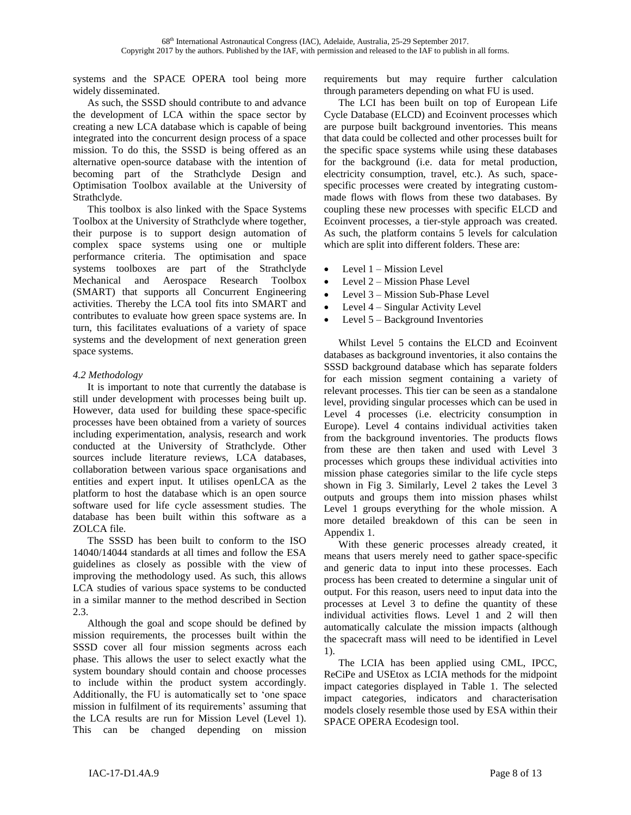systems and the SPACE OPERA tool being more widely disseminated.

As such, the SSSD should contribute to and advance the development of LCA within the space sector by creating a new LCA database which is capable of being integrated into the concurrent design process of a space mission. To do this, the SSSD is being offered as an alternative open-source database with the intention of becoming part of the Strathclyde Design and Optimisation Toolbox available at the University of Strathclyde.

This toolbox is also linked with the Space Systems Toolbox at the University of Strathclyde where together, their purpose is to support design automation of complex space systems using one or multiple performance criteria. The optimisation and space systems toolboxes are part of the Strathclyde Mechanical and Aerospace Research Toolbox (SMART) that supports all Concurrent Engineering activities. Thereby the LCA tool fits into SMART and contributes to evaluate how green space systems are. In turn, this facilitates evaluations of a variety of space systems and the development of next generation green space systems.

# *4.2 Methodology*

It is important to note that currently the database is still under development with processes being built up. However, data used for building these space-specific processes have been obtained from a variety of sources including experimentation, analysis, research and work conducted at the University of Strathclyde. Other sources include literature reviews, LCA databases, collaboration between various space organisations and entities and expert input. It utilises openLCA as the platform to host the database which is an open source software used for life cycle assessment studies. The database has been built within this software as a ZOLCA file.

The SSSD has been built to conform to the ISO 14040/14044 standards at all times and follow the ESA guidelines as closely as possible with the view of improving the methodology used. As such, this allows LCA studies of various space systems to be conducted in a similar manner to the method described in Section 2.3.

Although the goal and scope should be defined by mission requirements, the processes built within the SSSD cover all four mission segments across each phase. This allows the user to select exactly what the system boundary should contain and choose processes to include within the product system accordingly. Additionally, the FU is automatically set to 'one space mission in fulfilment of its requirements' assuming that the LCA results are run for Mission Level (Level 1). This can be changed depending on mission

requirements but may require further calculation through parameters depending on what FU is used.

The LCI has been built on top of European Life Cycle Database (ELCD) and Ecoinvent processes which are purpose built background inventories. This means that data could be collected and other processes built for the specific space systems while using these databases for the background (i.e. data for metal production, electricity consumption, travel, etc.). As such, spacespecific processes were created by integrating custommade flows with flows from these two databases. By coupling these new processes with specific ELCD and Ecoinvent processes, a tier-style approach was created. As such, the platform contains 5 levels for calculation which are split into different folders. These are:

- Level 1 Mission Level
- Level 2 Mission Phase Level
- Level 3 Mission Sub-Phase Level
- Level 4 Singular Activity Level
- Level  $5 -$ Background Inventories

Whilst Level 5 contains the ELCD and Ecoinvent databases as background inventories, it also contains the SSSD background database which has separate folders for each mission segment containing a variety of relevant processes. This tier can be seen as a standalone level, providing singular processes which can be used in Level 4 processes (i.e. electricity consumption in Europe). Level 4 contains individual activities taken from the background inventories. The products flows from these are then taken and used with Level 3 processes which groups these individual activities into mission phase categories similar to the life cycle steps shown in Fig 3. Similarly, Level 2 takes the Level 3 outputs and groups them into mission phases whilst Level 1 groups everything for the whole mission. A more detailed breakdown of this can be seen in Appendix 1.

With these generic processes already created, it means that users merely need to gather space-specific and generic data to input into these processes. Each process has been created to determine a singular unit of output. For this reason, users need to input data into the processes at Level 3 to define the quantity of these individual activities flows. Level 1 and 2 will then automatically calculate the mission impacts (although the spacecraft mass will need to be identified in Level 1).

The LCIA has been applied using CML, IPCC, ReCiPe and USEtox as LCIA methods for the midpoint impact categories displayed in Table 1. The selected impact categories, indicators and characterisation models closely resemble those used by ESA within their SPACE OPERA Ecodesign tool.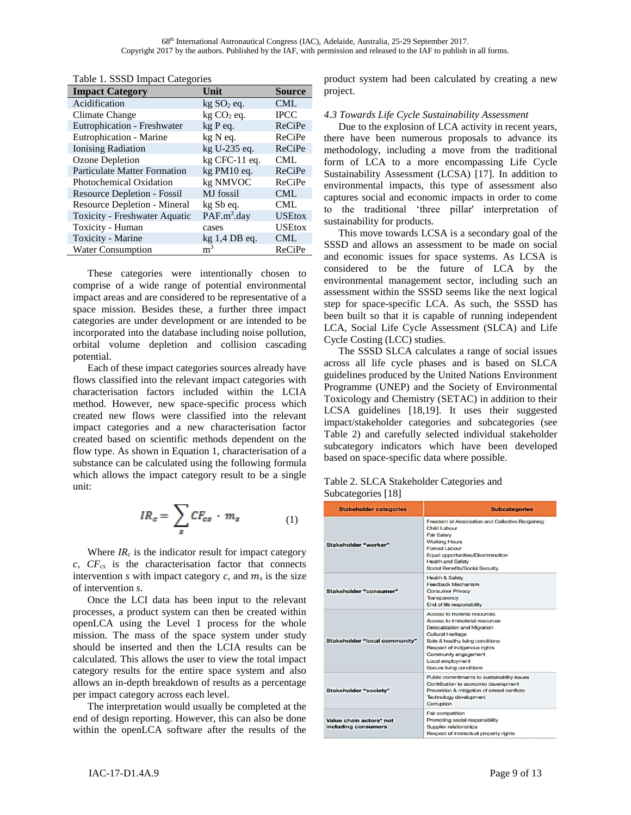| <b>Impact Category</b>              | Unit                    | <b>Source</b> |
|-------------------------------------|-------------------------|---------------|
| Acidification                       | kg SO <sub>2</sub> eq.  | <b>CML</b>    |
| Climate Change                      | $kg CO2$ eq.            | <b>IPCC</b>   |
| Eutrophication - Freshwater         | kg P eq.                | ReCiPe        |
| Eutrophication - Marine             | kg N eq.                | ReCiPe        |
| Ionising Radiation                  | kg U-235 eq.            | ReCiPe        |
| Ozone Depletion                     | $kg$ CFC-11 eq.         | <b>CML</b>    |
| <b>Particulate Matter Formation</b> | kg PM10 eq.             | ReCiPe        |
| <b>Photochemical Oxidation</b>      | kg NMVOC                | ReCiPe        |
| Resource Depletion - Fossil         | MJ fossil               | <b>CML</b>    |
| <b>Resource Depletion - Mineral</b> | kg Sb eq.               | <b>CML</b>    |
| Toxicity - Freshwater Aquatic       | PAF.m <sup>3</sup> .day | <b>USEtox</b> |
| Toxicity - Human                    | cases                   | <b>USEtox</b> |
| Toxicity - Marine                   | $kg$ 1,4 DB eq.         | <b>CML</b>    |
| <b>Water Consumption</b>            | m <sup>3</sup>          | ReCiPe        |
|                                     |                         |               |

Table 1. SSSD Impact Categories

These categories were intentionally chosen to comprise of a wide range of potential environmental impact areas and are considered to be representative of a space mission. Besides these, a further three impact categories are under development or are intended to be incorporated into the database including noise pollution, orbital volume depletion and collision cascading potential.

Each of these impact categories sources already have flows classified into the relevant impact categories with characterisation factors included within the LCIA method. However, new space-specific process which created new flows were classified into the relevant impact categories and a new characterisation factor created based on scientific methods dependent on the flow type. As shown in Equation 1, characterisation of a substance can be calculated using the following formula which allows the impact category result to be a single unit:

$$
IR_c = \sum_s CF_{cs} \cdot m_s \tag{1}
$$

Where  $IR_c$  is the indicator result for impact category *c*, *CFcs* is the characterisation factor that connects intervention *s* with impact category *c*, and  $m_s$  is the size of intervention *s*.

Once the LCI data has been input to the relevant processes, a product system can then be created within openLCA using the Level 1 process for the whole mission. The mass of the space system under study should be inserted and then the LCIA results can be calculated. This allows the user to view the total impact category results for the entire space system and also allows an in-depth breakdown of results as a percentage per impact category across each level.

The interpretation would usually be completed at the end of design reporting. However, this can also be done within the openLCA software after the results of the

product system had been calculated by creating a new project.

#### *4.3 Towards Life Cycle Sustainability Assessment*

Due to the explosion of LCA activity in recent years, there have been numerous proposals to advance its methodology, including a move from the traditional form of LCA to a more encompassing Life Cycle Sustainability Assessment (LCSA) [17]. In addition to environmental impacts, this type of assessment also captures social and economic impacts in order to come to the traditional 'three pillar' interpretation of sustainability for products.

This move towards LCSA is a secondary goal of the SSSD and allows an assessment to be made on social and economic issues for space systems. As LCSA is considered to be the future of LCA by the environmental management sector, including such an assessment within the SSSD seems like the next logical step for space-specific LCA. As such, the SSSD has been built so that it is capable of running independent LCA, Social Life Cycle Assessment (SLCA) and Life Cycle Costing (LCC) studies.

The SSSD SLCA calculates a range of social issues across all life cycle phases and is based on SLCA guidelines produced by the United Nations Environment Programme (UNEP) and the Society of Environmental Toxicology and Chemistry (SETAC) in addition to their LCSA guidelines [18,19]. It uses their suggested impact/stakeholder categories and subcategories (see Table 2) and carefully selected individual stakeholder subcategory indicators which have been developed based on space-specific data where possible.

|                    | Table 2. SLCA Stakeholder Categories and |
|--------------------|------------------------------------------|
| Subcategories [18] |                                          |

| <b>Stakeholder categories</b>                  | <b>Subcategories</b>                                                                                                                                                                                                                                                          |
|------------------------------------------------|-------------------------------------------------------------------------------------------------------------------------------------------------------------------------------------------------------------------------------------------------------------------------------|
| Stakeholder "worker"                           | Freedom of Association and Collective Bargaining<br>Child Labour<br>Fair Salary<br><b>Working Hours</b><br>Forced Labour<br>Equal opportunities/Discrimination<br><b>Health and Safety</b><br>Social Benefits/Social Security                                                 |
| Stakeholder "consumer"                         | <b>Health &amp; Safety</b><br>Feedback Mechanism<br><b>Consumer Privacy</b><br>Transparency<br>End of life responsibility                                                                                                                                                     |
| Stakeholder "local community"                  | Access to material resources<br>Access to immaterial resources<br><b>Delocalization and Migration</b><br><b>Cultural Heritage</b><br>Safe & healthy living conditions<br>Respect of indigenous rights<br>Community engagement<br>Local employment<br>Secure living conditions |
| Stakeholder "society"                          | Public commitments to sustainability issues<br>Contribution to economic development<br>Prevention & mitigation of armed conflicts<br><b>Technology development</b><br>Corruption                                                                                              |
| Value chain actors* not<br>including consumers | Fair competition<br>Promoting social responsibility<br>Supplier relationships<br>Respect of intellectual property rights                                                                                                                                                      |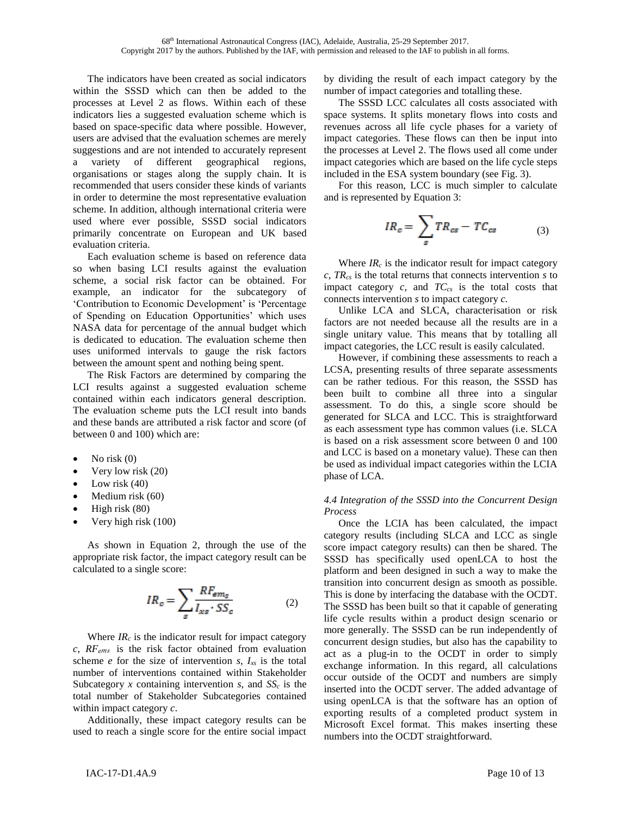The indicators have been created as social indicators within the SSSD which can then be added to the processes at Level 2 as flows. Within each of these indicators lies a suggested evaluation scheme which is based on space-specific data where possible. However, users are advised that the evaluation schemes are merely suggestions and are not intended to accurately represent a variety of different geographical regions, organisations or stages along the supply chain. It is recommended that users consider these kinds of variants in order to determine the most representative evaluation scheme. In addition, although international criteria were used where ever possible, SSSD social indicators primarily concentrate on European and UK based evaluation criteria.

Each evaluation scheme is based on reference data so when basing LCI results against the evaluation scheme, a social risk factor can be obtained. For example, an indicator for the subcategory of 'Contribution to Economic Development' is 'Percentage of Spending on Education Opportunities' which uses NASA data for percentage of the annual budget which is dedicated to education. The evaluation scheme then uses uniformed intervals to gauge the risk factors between the amount spent and nothing being spent.

The Risk Factors are determined by comparing the LCI results against a suggested evaluation scheme contained within each indicators general description. The evaluation scheme puts the LCI result into bands and these bands are attributed a risk factor and score (of between 0 and 100) which are:

- No risk  $(0)$
- Very low risk (20)
- Low risk  $(40)$
- Medium risk (60)
- High risk (80)
- Very high risk (100)

As shown in Equation 2, through the use of the appropriate risk factor, the impact category result can be calculated to a single score:

$$
IR_c = \sum_{s} \frac{RF_{ems}}{I_{xs} \cdot SS_c}
$$
 (2)

Where  $IR_c$  is the indicator result for impact category  $c$ ,  $RF_{ems}$  is the risk factor obtained from evaluation scheme  $e$  for the size of intervention  $s$ ,  $I_{xs}$  is the total number of interventions contained within Stakeholder Subcategory *x* containing intervention *s*, and *SS<sup>c</sup>* is the total number of Stakeholder Subcategories contained within impact category *c*.

Additionally, these impact category results can be used to reach a single score for the entire social impact by dividing the result of each impact category by the number of impact categories and totalling these.

The SSSD LCC calculates all costs associated with space systems. It splits monetary flows into costs and revenues across all life cycle phases for a variety of impact categories. These flows can then be input into the processes at Level 2. The flows used all come under impact categories which are based on the life cycle steps included in the ESA system boundary (see Fig. 3).

For this reason, LCC is much simpler to calculate and is represented by Equation 3:

$$
IR_c = \sum_{s} TR_{cs} - TC_{cs} \tag{3}
$$

Where  $IR_c$  is the indicator result for impact category *c*, *TRcs* is the total returns that connects intervention *s* to impact category *c,* and *TCcs* is the total costs that connects intervention *s* to impact category *c.*

Unlike LCA and SLCA, characterisation or risk factors are not needed because all the results are in a single unitary value. This means that by totalling all impact categories, the LCC result is easily calculated.

However, if combining these assessments to reach a LCSA, presenting results of three separate assessments can be rather tedious. For this reason, the SSSD has been built to combine all three into a singular assessment. To do this, a single score should be generated for SLCA and LCC. This is straightforward as each assessment type has common values (i.e. SLCA is based on a risk assessment score between 0 and 100 and LCC is based on a monetary value). These can then be used as individual impact categories within the LCIA phase of LCA.

## *4.4 Integration of the SSSD into the Concurrent Design Process*

Once the LCIA has been calculated, the impact category results (including SLCA and LCC as single score impact category results) can then be shared. The SSSD has specifically used openLCA to host the platform and been designed in such a way to make the transition into concurrent design as smooth as possible. This is done by interfacing the database with the OCDT. The SSSD has been built so that it capable of generating life cycle results within a product design scenario or more generally. The SSSD can be run independently of concurrent design studies, but also has the capability to act as a plug-in to the OCDT in order to simply exchange information. In this regard, all calculations occur outside of the OCDT and numbers are simply inserted into the OCDT server. The added advantage of using openLCA is that the software has an option of exporting results of a completed product system in Microsoft Excel format. This makes inserting these numbers into the OCDT straightforward.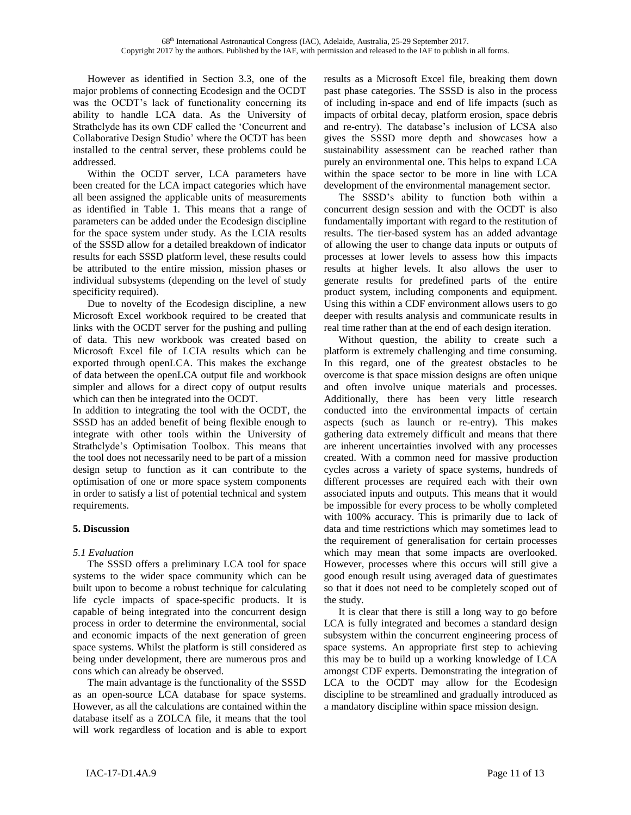However as identified in Section 3.3, one of the major problems of connecting Ecodesign and the OCDT was the OCDT's lack of functionality concerning its ability to handle LCA data. As the University of Strathclyde has its own CDF called the 'Concurrent and Collaborative Design Studio' where the OCDT has been installed to the central server, these problems could be addressed.

Within the OCDT server, LCA parameters have been created for the LCA impact categories which have all been assigned the applicable units of measurements as identified in Table 1. This means that a range of parameters can be added under the Ecodesign discipline for the space system under study. As the LCIA results of the SSSD allow for a detailed breakdown of indicator results for each SSSD platform level, these results could be attributed to the entire mission, mission phases or individual subsystems (depending on the level of study specificity required).

Due to novelty of the Ecodesign discipline, a new Microsoft Excel workbook required to be created that links with the OCDT server for the pushing and pulling of data. This new workbook was created based on Microsoft Excel file of LCIA results which can be exported through openLCA. This makes the exchange of data between the openLCA output file and workbook simpler and allows for a direct copy of output results which can then be integrated into the OCDT.

In addition to integrating the tool with the OCDT, the SSSD has an added benefit of being flexible enough to integrate with other tools within the University of Strathclyde's Optimisation Toolbox. This means that the tool does not necessarily need to be part of a mission design setup to function as it can contribute to the optimisation of one or more space system components in order to satisfy a list of potential technical and system requirements.

# **5. Discussion**

## *5.1 Evaluation*

The SSSD offers a preliminary LCA tool for space systems to the wider space community which can be built upon to become a robust technique for calculating life cycle impacts of space-specific products. It is capable of being integrated into the concurrent design process in order to determine the environmental, social and economic impacts of the next generation of green space systems. Whilst the platform is still considered as being under development, there are numerous pros and cons which can already be observed.

The main advantage is the functionality of the SSSD as an open-source LCA database for space systems. However, as all the calculations are contained within the database itself as a ZOLCA file, it means that the tool will work regardless of location and is able to export results as a Microsoft Excel file, breaking them down past phase categories. The SSSD is also in the process of including in-space and end of life impacts (such as impacts of orbital decay, platform erosion, space debris and re-entry). The database's inclusion of LCSA also gives the SSSD more depth and showcases how a sustainability assessment can be reached rather than purely an environmental one. This helps to expand LCA within the space sector to be more in line with LCA development of the environmental management sector.

The SSSD's ability to function both within a concurrent design session and with the OCDT is also fundamentally important with regard to the restitution of results. The tier-based system has an added advantage of allowing the user to change data inputs or outputs of processes at lower levels to assess how this impacts results at higher levels. It also allows the user to generate results for predefined parts of the entire product system, including components and equipment. Using this within a CDF environment allows users to go deeper with results analysis and communicate results in real time rather than at the end of each design iteration.

Without question, the ability to create such a platform is extremely challenging and time consuming. In this regard, one of the greatest obstacles to be overcome is that space mission designs are often unique and often involve unique materials and processes. Additionally, there has been very little research conducted into the environmental impacts of certain aspects (such as launch or re-entry). This makes gathering data extremely difficult and means that there are inherent uncertainties involved with any processes created. With a common need for massive production cycles across a variety of space systems, hundreds of different processes are required each with their own associated inputs and outputs. This means that it would be impossible for every process to be wholly completed with 100% accuracy. This is primarily due to lack of data and time restrictions which may sometimes lead to the requirement of generalisation for certain processes which may mean that some impacts are overlooked. However, processes where this occurs will still give a good enough result using averaged data of guestimates so that it does not need to be completely scoped out of the study.

It is clear that there is still a long way to go before LCA is fully integrated and becomes a standard design subsystem within the concurrent engineering process of space systems. An appropriate first step to achieving this may be to build up a working knowledge of LCA amongst CDF experts. Demonstrating the integration of LCA to the OCDT may allow for the Ecodesign discipline to be streamlined and gradually introduced as a mandatory discipline within space mission design.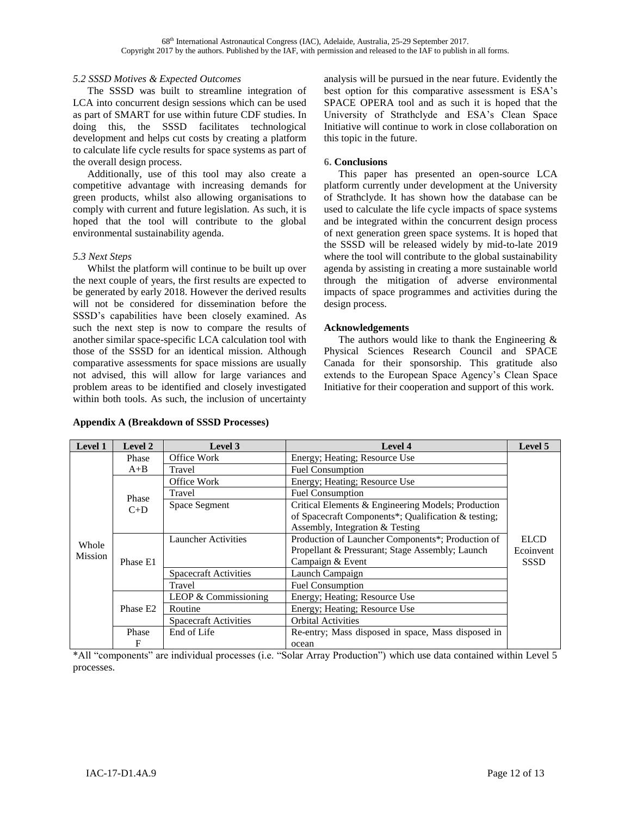### *5.2 SSSD Motives & Expected Outcomes*

The SSSD was built to streamline integration of LCA into concurrent design sessions which can be used as part of SMART for use within future CDF studies. In doing this, the SSSD facilitates technological development and helps cut costs by creating a platform to calculate life cycle results for space systems as part of the overall design process.

Additionally, use of this tool may also create a competitive advantage with increasing demands for green products, whilst also allowing organisations to comply with current and future legislation. As such, it is hoped that the tool will contribute to the global environmental sustainability agenda.

### *5.3 Next Steps*

Whilst the platform will continue to be built up over the next couple of years, the first results are expected to be generated by early 2018. However the derived results will not be considered for dissemination before the SSSD's capabilities have been closely examined. As such the next step is now to compare the results of another similar space-specific LCA calculation tool with those of the SSSD for an identical mission. Although comparative assessments for space missions are usually not advised, this will allow for large variances and problem areas to be identified and closely investigated within both tools. As such, the inclusion of uncertainty

#### **Appendix A (Breakdown of SSSD Processes)**

analysis will be pursued in the near future. Evidently the best option for this comparative assessment is ESA's SPACE OPERA tool and as such it is hoped that the University of Strathclyde and ESA's Clean Space Initiative will continue to work in close collaboration on this topic in the future.

### **6. Conclusions**

This paper has presented an open-source LCA platform currently under development at the University of Strathclyde. It has shown how the database can be used to calculate the life cycle impacts of space systems and be integrated within the concurrent design process of next generation green space systems. It is hoped that the SSSD will be released widely by mid-to-late 2019 where the tool will contribute to the global sustainability agenda by assisting in creating a more sustainable world through the mitigation of adverse environmental impacts of space programmes and activities during the design process.

### **Acknowledgements**

The authors would like to thank the Engineering  $\&$ Physical Sciences Research Council and SPACE Canada for their sponsorship. This gratitude also extends to the European Space Agency's Clean Space Initiative for their cooperation and support of this work.

| <b>Level 1</b>                     | <b>Level 2</b>       | Level 3                      | <b>Level 4</b>                                      | Level 5     |
|------------------------------------|----------------------|------------------------------|-----------------------------------------------------|-------------|
| Phase<br>$C+D$<br>Whole<br>Mission | Phase                | Office Work                  | Energy; Heating; Resource Use                       |             |
|                                    | $A + B$              | Travel                       | <b>Fuel Consumption</b>                             |             |
|                                    |                      | Office Work                  | Energy; Heating; Resource Use                       |             |
|                                    |                      | Travel                       | <b>Fuel Consumption</b>                             |             |
|                                    |                      | Space Segment                | Critical Elements & Engineering Models; Production  |             |
|                                    |                      |                              | of Spacecraft Components*; Qualification & testing; |             |
|                                    |                      |                              | Assembly, Integration & Testing                     |             |
|                                    |                      | <b>Launcher Activities</b>   | Production of Launcher Components*; Production of   | <b>ELCD</b> |
|                                    |                      |                              | Propellant & Pressurant; Stage Assembly; Launch     | Ecoinvent   |
|                                    | Phase E1             |                              | Campaign & Event                                    | <b>SSSD</b> |
|                                    |                      | <b>Spacecraft Activities</b> | Launch Campaign                                     |             |
|                                    |                      | Travel                       | <b>Fuel Consumption</b>                             |             |
|                                    |                      | LEOP & Commissioning         | Energy; Heating; Resource Use                       |             |
|                                    | Phase E <sub>2</sub> | Routine                      | Energy; Heating; Resource Use                       |             |
|                                    |                      | <b>Spacecraft Activities</b> | <b>Orbital Activities</b>                           |             |
|                                    | Phase                | End of Life                  | Re-entry; Mass disposed in space, Mass disposed in  |             |
|                                    | F                    |                              | ocean                                               |             |

\*All "components" are individual processes (i.e. "Solar Array Production") which use data contained within Level 5 processes.